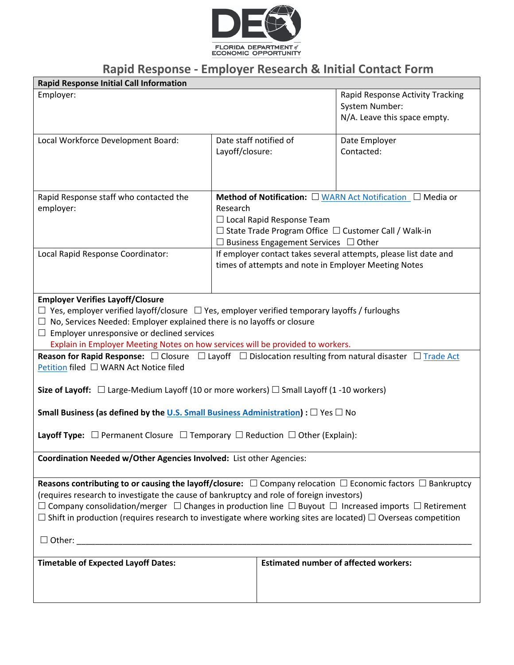

## **Rapid Response - Employer Research & Initial Contact Form**

| <b>Rapid Response Initial Call Information</b>                                                                                                                                                                                                                                                                                                                                                                                                                                        |                                           |                                                                                                                                                                                                                                         |                                                                                    |  |
|---------------------------------------------------------------------------------------------------------------------------------------------------------------------------------------------------------------------------------------------------------------------------------------------------------------------------------------------------------------------------------------------------------------------------------------------------------------------------------------|-------------------------------------------|-----------------------------------------------------------------------------------------------------------------------------------------------------------------------------------------------------------------------------------------|------------------------------------------------------------------------------------|--|
| Employer:                                                                                                                                                                                                                                                                                                                                                                                                                                                                             |                                           |                                                                                                                                                                                                                                         | Rapid Response Activity Tracking<br>System Number:<br>N/A. Leave this space empty. |  |
| Local Workforce Development Board:                                                                                                                                                                                                                                                                                                                                                                                                                                                    | Date staff notified of<br>Layoff/closure: |                                                                                                                                                                                                                                         | Date Employer<br>Contacted:                                                        |  |
| Rapid Response staff who contacted the<br>employer:                                                                                                                                                                                                                                                                                                                                                                                                                                   | Research                                  | <b>Method of Notification:</b> $\Box$ WARN Act Notification $\Box$ Media or<br>$\Box$ Local Rapid Response Team<br>$\Box$ State Trade Program Office $\Box$ Customer Call / Walk-in<br>$\Box$ Business Engagement Services $\Box$ Other |                                                                                    |  |
| Local Rapid Response Coordinator:                                                                                                                                                                                                                                                                                                                                                                                                                                                     |                                           | If employer contact takes several attempts, please list date and<br>times of attempts and note in Employer Meeting Notes                                                                                                                |                                                                                    |  |
| <b>Employer Verifies Layoff/Closure</b><br>$\Box$ Yes, employer verified layoff/closure $\Box$ Yes, employer verified temporary layoffs / furloughs<br>$\Box$ No, Services Needed: Employer explained there is no layoffs or closure<br>$\Box$ Employer unresponsive or declined services<br>Explain in Employer Meeting Notes on how services will be provided to workers.                                                                                                           |                                           |                                                                                                                                                                                                                                         |                                                                                    |  |
| <b>Reason for Rapid Response:</b> $\Box$ Closure $\Box$ Layoff $\Box$ Dislocation resulting from natural disaster $\Box$ Trade Act<br>Petition filed □ WARN Act Notice filed                                                                                                                                                                                                                                                                                                          |                                           |                                                                                                                                                                                                                                         |                                                                                    |  |
| Size of Layoff: $\Box$ Large-Medium Layoff (10 or more workers) $\Box$ Small Layoff (1-10 workers)<br>Small Business (as defined by the U.S. Small Business Administration) : $\square$ Yes $\square$ No                                                                                                                                                                                                                                                                              |                                           |                                                                                                                                                                                                                                         |                                                                                    |  |
| <b>Layoff Type:</b> $\Box$ Permanent Closure $\Box$ Temporary $\Box$ Reduction $\Box$ Other (Explain):                                                                                                                                                                                                                                                                                                                                                                                |                                           |                                                                                                                                                                                                                                         |                                                                                    |  |
| Coordination Needed w/Other Agencies Involved: List other Agencies:                                                                                                                                                                                                                                                                                                                                                                                                                   |                                           |                                                                                                                                                                                                                                         |                                                                                    |  |
| Reasons contributing to or causing the layoff/closure: $\Box$ Company relocation $\Box$ Economic factors $\Box$ Bankruptcy<br>(requires research to investigate the cause of bankruptcy and role of foreign investors)<br>$\Box$ Company consolidation/merger $\Box$ Changes in production line $\Box$ Buyout $\Box$ Increased imports $\Box$ Retirement<br>$\Box$ Shift in production (requires research to investigate where working sites are located) $\Box$ Overseas competition |                                           |                                                                                                                                                                                                                                         |                                                                                    |  |
| <b>Timetable of Expected Layoff Dates:</b>                                                                                                                                                                                                                                                                                                                                                                                                                                            |                                           |                                                                                                                                                                                                                                         | <b>Estimated number of affected workers:</b>                                       |  |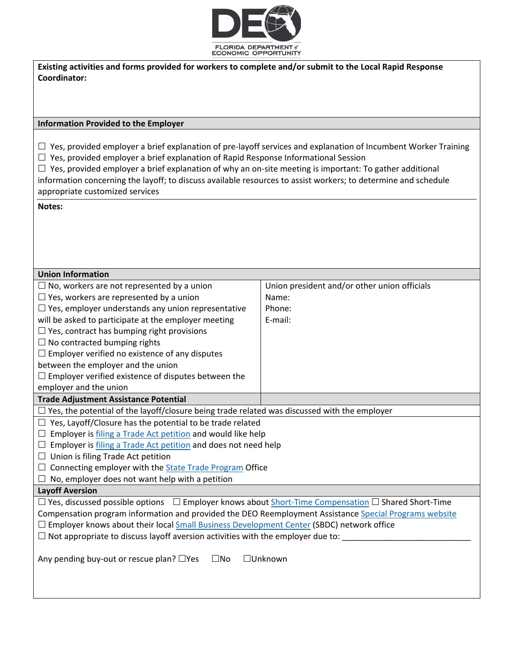

**Existing activities and forms provided for workers to complete and/or submit to the Local Rapid Response Coordinator:** 

#### **Information Provided to the Employer**

 $\Box$  Yes, provided employer a brief explanation of pre-layoff services and explanation of Incumbent Worker Training  $\Box$  Yes, provided employer a brief explanation of Rapid Response Informational Session

 $\Box$  Yes, provided employer a brief explanation of why an on-site meeting is important: To gather additional information concerning the layoff; to discuss available resources to assist workers; to determine and schedule appropriate customized services

#### **Notes:**

| <b>Union Information</b>                                                                                            |                                              |  |  |
|---------------------------------------------------------------------------------------------------------------------|----------------------------------------------|--|--|
| $\Box$ No, workers are not represented by a union                                                                   | Union president and/or other union officials |  |  |
| $\Box$ Yes, workers are represented by a union                                                                      | Name:                                        |  |  |
| $\Box$ Yes, employer understands any union representative                                                           | Phone:                                       |  |  |
| will be asked to participate at the employer meeting                                                                | E-mail:                                      |  |  |
| $\Box$ Yes, contract has bumping right provisions                                                                   |                                              |  |  |
| $\Box$ No contracted bumping rights                                                                                 |                                              |  |  |
| $\Box$ Employer verified no existence of any disputes                                                               |                                              |  |  |
| between the employer and the union                                                                                  |                                              |  |  |
| $\Box$ Employer verified existence of disputes between the                                                          |                                              |  |  |
| employer and the union                                                                                              |                                              |  |  |
| <b>Trade Adjustment Assistance Potential</b>                                                                        |                                              |  |  |
| $\Box$ Yes, the potential of the layoff/closure being trade related was discussed with the employer                 |                                              |  |  |
| $\Box$ Yes, Layoff/Closure has the potential to be trade related                                                    |                                              |  |  |
| $\Box$ Employer is filing a Trade Act petition and would like help                                                  |                                              |  |  |
| $\Box$ Employer is filing a Trade Act petition and does not need help                                               |                                              |  |  |
| $\Box$ Union is filing Trade Act petition                                                                           |                                              |  |  |
| $\Box$ Connecting employer with the <b>State Trade Program</b> Office                                               |                                              |  |  |
| $\Box$ No, employer does not want help with a petition                                                              |                                              |  |  |
| <b>Layoff Aversion</b>                                                                                              |                                              |  |  |
| $\Box$ Yes, discussed possible options $\Box$ Employer knows about Short-Time Compensation $\Box$ Shared Short-Time |                                              |  |  |
| Compensation program information and provided the DEO Reemployment Assistance Special Programs website              |                                              |  |  |
| □ Employer knows about their local Small Business Development Center (SBDC) network office                          |                                              |  |  |
| $\Box$ Not appropriate to discuss layoff aversion activities with the employer due to: $\Box$                       |                                              |  |  |
|                                                                                                                     |                                              |  |  |
| Any pending buy-out or rescue plan? □Yes<br>$\Box$ Unknown<br>$\square$ No                                          |                                              |  |  |
|                                                                                                                     |                                              |  |  |
|                                                                                                                     |                                              |  |  |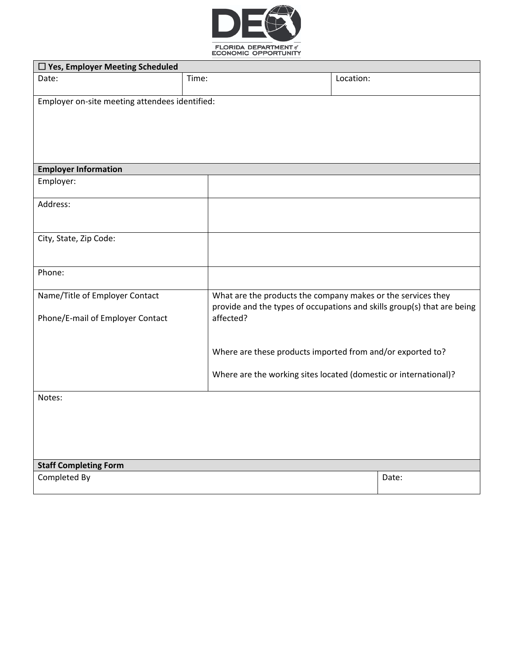

| □ Yes, Employer Meeting Scheduled              |                                                                                      |           |       |
|------------------------------------------------|--------------------------------------------------------------------------------------|-----------|-------|
| Date:                                          | Time:                                                                                | Location: |       |
|                                                |                                                                                      |           |       |
| Employer on-site meeting attendees identified: |                                                                                      |           |       |
|                                                |                                                                                      |           |       |
|                                                |                                                                                      |           |       |
|                                                |                                                                                      |           |       |
|                                                |                                                                                      |           |       |
| <b>Employer Information</b>                    |                                                                                      |           |       |
| Employer:                                      |                                                                                      |           |       |
| Address:                                       |                                                                                      |           |       |
|                                                |                                                                                      |           |       |
| City, State, Zip Code:                         |                                                                                      |           |       |
|                                                |                                                                                      |           |       |
| Phone:                                         |                                                                                      |           |       |
|                                                |                                                                                      |           |       |
| Name/Title of Employer Contact                 | What are the products the company makes or the services they                         |           |       |
|                                                | provide and the types of occupations and skills group(s) that are being<br>affected? |           |       |
| Phone/E-mail of Employer Contact               |                                                                                      |           |       |
|                                                |                                                                                      |           |       |
|                                                | Where are these products imported from and/or exported to?                           |           |       |
|                                                | Where are the working sites located (domestic or international)?                     |           |       |
|                                                |                                                                                      |           |       |
| Notes:                                         |                                                                                      |           |       |
|                                                |                                                                                      |           |       |
|                                                |                                                                                      |           |       |
|                                                |                                                                                      |           |       |
|                                                |                                                                                      |           |       |
| <b>Staff Completing Form</b>                   |                                                                                      |           |       |
| Completed By                                   |                                                                                      |           | Date: |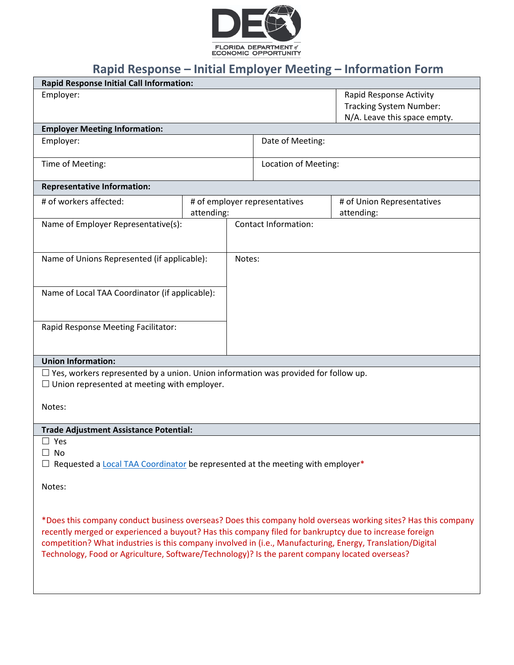

# **Rapid Response – Initial Employer Meeting – Information Form**

| <b>Rapid Response Initial Call Information:</b>                                                            |                               |                             |                                                                                                               |
|------------------------------------------------------------------------------------------------------------|-------------------------------|-----------------------------|---------------------------------------------------------------------------------------------------------------|
| Employer:                                                                                                  |                               |                             | Rapid Response Activity                                                                                       |
|                                                                                                            |                               |                             | <b>Tracking System Number:</b>                                                                                |
|                                                                                                            |                               |                             | N/A. Leave this space empty.                                                                                  |
| <b>Employer Meeting Information:</b>                                                                       |                               |                             |                                                                                                               |
| Employer:                                                                                                  |                               | Date of Meeting:            |                                                                                                               |
|                                                                                                            |                               |                             |                                                                                                               |
| Time of Meeting:                                                                                           |                               | Location of Meeting:        |                                                                                                               |
|                                                                                                            |                               |                             |                                                                                                               |
| <b>Representative Information:</b>                                                                         |                               |                             |                                                                                                               |
| # of workers affected:                                                                                     | # of employer representatives |                             | # of Union Representatives                                                                                    |
|                                                                                                            | attending:                    |                             | attending:                                                                                                    |
| Name of Employer Representative(s):                                                                        |                               | <b>Contact Information:</b> |                                                                                                               |
|                                                                                                            |                               |                             |                                                                                                               |
|                                                                                                            |                               |                             |                                                                                                               |
| Name of Unions Represented (if applicable):                                                                | Notes:                        |                             |                                                                                                               |
|                                                                                                            |                               |                             |                                                                                                               |
|                                                                                                            |                               |                             |                                                                                                               |
| Name of Local TAA Coordinator (if applicable):                                                             |                               |                             |                                                                                                               |
|                                                                                                            |                               |                             |                                                                                                               |
|                                                                                                            |                               |                             |                                                                                                               |
| Rapid Response Meeting Facilitator:                                                                        |                               |                             |                                                                                                               |
|                                                                                                            |                               |                             |                                                                                                               |
|                                                                                                            |                               |                             |                                                                                                               |
| <b>Union Information:</b>                                                                                  |                               |                             |                                                                                                               |
| $\Box$ Yes, workers represented by a union. Union information was provided for follow up.                  |                               |                             |                                                                                                               |
| $\Box$ Union represented at meeting with employer.                                                         |                               |                             |                                                                                                               |
|                                                                                                            |                               |                             |                                                                                                               |
| Notes:                                                                                                     |                               |                             |                                                                                                               |
|                                                                                                            |                               |                             |                                                                                                               |
| Trade Adjustment Assistance Potential:                                                                     |                               |                             |                                                                                                               |
| $\Box$ Yes                                                                                                 |                               |                             |                                                                                                               |
| No                                                                                                         |                               |                             |                                                                                                               |
| Requested a Local TAA Coordinator be represented at the meeting with employer*                             |                               |                             |                                                                                                               |
|                                                                                                            |                               |                             |                                                                                                               |
| Notes:                                                                                                     |                               |                             |                                                                                                               |
|                                                                                                            |                               |                             |                                                                                                               |
|                                                                                                            |                               |                             |                                                                                                               |
|                                                                                                            |                               |                             | *Does this company conduct business overseas? Does this company hold overseas working sites? Has this company |
|                                                                                                            |                               |                             |                                                                                                               |
| recently merged or experienced a buyout? Has this company filed for bankruptcy due to increase foreign     |                               |                             |                                                                                                               |
| competition? What industries is this company involved in (i.e., Manufacturing, Energy, Translation/Digital |                               |                             |                                                                                                               |
| Technology, Food or Agriculture, Software/Technology)? Is the parent company located overseas?             |                               |                             |                                                                                                               |
|                                                                                                            |                               |                             |                                                                                                               |
|                                                                                                            |                               |                             |                                                                                                               |
|                                                                                                            |                               |                             |                                                                                                               |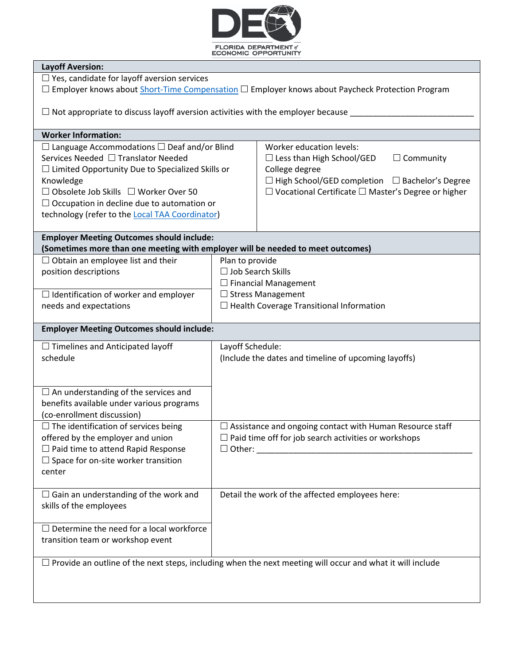

| <b>Layoff Aversion:</b>                                                                                          |                                                             |                                                                 |  |  |
|------------------------------------------------------------------------------------------------------------------|-------------------------------------------------------------|-----------------------------------------------------------------|--|--|
| $\Box$ Yes, candidate for layoff aversion services                                                               |                                                             |                                                                 |  |  |
| □ Employer knows about Short-Time Compensation □ Employer knows about Paycheck Protection Program                |                                                             |                                                                 |  |  |
|                                                                                                                  |                                                             |                                                                 |  |  |
| $\Box$ Not appropriate to discuss layoff aversion activities with the employer because $\Box$                    |                                                             |                                                                 |  |  |
|                                                                                                                  |                                                             |                                                                 |  |  |
| <b>Worker Information:</b>                                                                                       |                                                             |                                                                 |  |  |
|                                                                                                                  |                                                             | <b>Worker education levels:</b>                                 |  |  |
| $\Box$ Language Accommodations $\Box$ Deaf and/or Blind                                                          |                                                             |                                                                 |  |  |
| Services Needed □ Translator Needed                                                                              |                                                             | $\Box$ Community<br>$\Box$ Less than High School/GED            |  |  |
| $\Box$ Limited Opportunity Due to Specialized Skills or                                                          |                                                             | College degree                                                  |  |  |
| Knowledge                                                                                                        |                                                             | $\Box$ High School/GED completion $\Box$ Bachelor's Degree      |  |  |
| $\Box$ Obsolete Job Skills $\Box$ Worker Over 50                                                                 |                                                             | $\Box$ Vocational Certificate $\Box$ Master's Degree or higher  |  |  |
| $\Box$ Occupation in decline due to automation or                                                                |                                                             |                                                                 |  |  |
| technology (refer to the Local TAA Coordinator)                                                                  |                                                             |                                                                 |  |  |
|                                                                                                                  |                                                             |                                                                 |  |  |
| <b>Employer Meeting Outcomes should include:</b>                                                                 |                                                             |                                                                 |  |  |
| (Sometimes more than one meeting with employer will be needed to meet outcomes)                                  |                                                             |                                                                 |  |  |
| $\Box$ Obtain an employee list and their                                                                         | Plan to provide                                             |                                                                 |  |  |
| position descriptions                                                                                            | □ Job Search Skills                                         |                                                                 |  |  |
|                                                                                                                  |                                                             | $\Box$ Financial Management                                     |  |  |
| $\Box$ Identification of worker and employer                                                                     | $\Box$ Stress Management                                    |                                                                 |  |  |
| needs and expectations                                                                                           |                                                             | $\Box$ Health Coverage Transitional Information                 |  |  |
|                                                                                                                  |                                                             |                                                                 |  |  |
| <b>Employer Meeting Outcomes should include:</b>                                                                 |                                                             |                                                                 |  |  |
|                                                                                                                  |                                                             |                                                                 |  |  |
| $\Box$ Timelines and Anticipated layoff                                                                          | Layoff Schedule:                                            |                                                                 |  |  |
| schedule                                                                                                         | (Include the dates and timeline of upcoming layoffs)        |                                                                 |  |  |
|                                                                                                                  |                                                             |                                                                 |  |  |
|                                                                                                                  |                                                             |                                                                 |  |  |
| $\Box$ An understanding of the services and                                                                      |                                                             |                                                                 |  |  |
| benefits available under various programs                                                                        |                                                             |                                                                 |  |  |
| (co-enrollment discussion)                                                                                       |                                                             |                                                                 |  |  |
| $\Box$ The identification of services being                                                                      |                                                             | $\Box$ Assistance and ongoing contact with Human Resource staff |  |  |
| offered by the employer and union                                                                                | $\Box$ Paid time off for job search activities or workshops |                                                                 |  |  |
| $\Box$ Paid time to attend Rapid Response                                                                        |                                                             | $\Box$ Other:                                                   |  |  |
| $\Box$ Space for on-site worker transition                                                                       |                                                             |                                                                 |  |  |
| center                                                                                                           |                                                             |                                                                 |  |  |
|                                                                                                                  |                                                             |                                                                 |  |  |
| $\Box$ Gain an understanding of the work and                                                                     |                                                             | Detail the work of the affected employees here:                 |  |  |
|                                                                                                                  |                                                             |                                                                 |  |  |
| skills of the employees                                                                                          |                                                             |                                                                 |  |  |
|                                                                                                                  |                                                             |                                                                 |  |  |
| $\Box$ Determine the need for a local workforce                                                                  |                                                             |                                                                 |  |  |
| transition team or workshop event                                                                                |                                                             |                                                                 |  |  |
|                                                                                                                  |                                                             |                                                                 |  |  |
| $\Box$ Provide an outline of the next steps, including when the next meeting will occur and what it will include |                                                             |                                                                 |  |  |
|                                                                                                                  |                                                             |                                                                 |  |  |
|                                                                                                                  |                                                             |                                                                 |  |  |
|                                                                                                                  |                                                             |                                                                 |  |  |